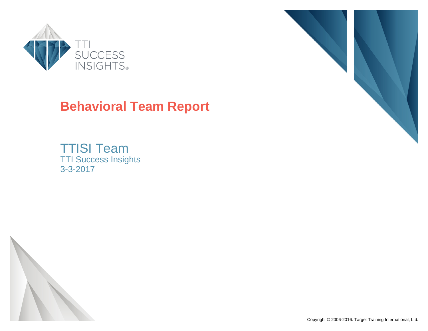

# **Behavioral Team Report**

TTISI Team TTI Success Insights 3-3-2017



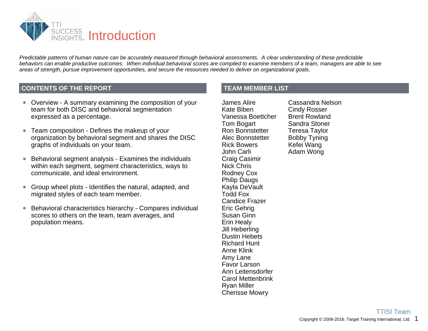

*Predictable patterns of human nature can be accurately measured through behavioral assessments. A clear understanding of these predictable behaviors can enable productive outcomes. When individual behavioral scores are compiled to examine members of a team, managers are able to see areas of strength, pursue improvement opportunities, and secure the resources needed to deliver on organizational goals.*

#### **CONTENTS OF THE REPORT**

- Overview A summary examining the composition of your team for both DISC and behavioral segmentation expressed as a percentage.
- Team composition Defines the makeup of your organization by behavioral segment and shares the DISC graphs of individuals on your team.
- Behavioral segment analysis Examines the individuals  $\bullet$ within each segment, segment characteristics, ways to communicate, and ideal environment.
- Group wheel plots Identifies the natural, adapted, and  $\bullet$ migrated styles of each team member.
- Behavioral characteristics hierarchy Compares individual scores to others on the team, team averages, and population means.

**TEAM MEMBER LIST**

James Alire Kate Biben Vanessa Boettcher Tom Bogart Ron Bonnstetter Alec Bonnstetter Rick Bowers John Carli Craig Casimir Nick Chris Rodney Cox Philip Daugs Kayla DeVault Todd Fox Candice Frazer Eric Gehrig Susan Ginn Erin Healy Jill Heberling Dustin Hebets Richard Hunt Anne Klink Amy Lane Favor Larson Ann Leitensdorfer Carol Mettenbrink Ryan Miller Cherisse Mowry

Cassandra Nelson Cindy Rosser Brent Rowland Sandra Stoner Teresa Taylor Bobby Tyning Kefei Wang Adam Wong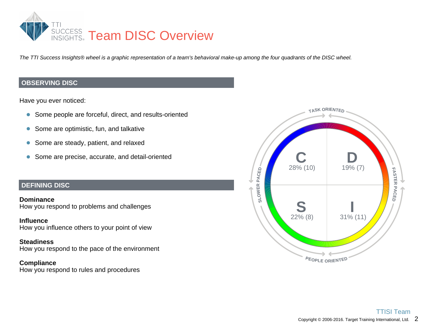

*The TTI Success Insights® wheel is a graphic representation of a team's behavioral make-up among the four quadrants of the DISC wheel.*

#### **OBSERVING DISC**

Have you ever noticed:

- Some people are forceful, direct, and results-oriented
- Some are optimistic, fun, and talkative  $\bullet$
- Some are steady, patient, and relaxed  $\bullet$
- Some are precise, accurate, and detail-oriented

#### **DEFINING DISC**

**Dominance** How you respond to problems and challenges

**Influence** How you influence others to your point of view

#### **Steadiness**

How you respond to the pace of the environment

#### **Compliance**

How you respond to rules and procedures

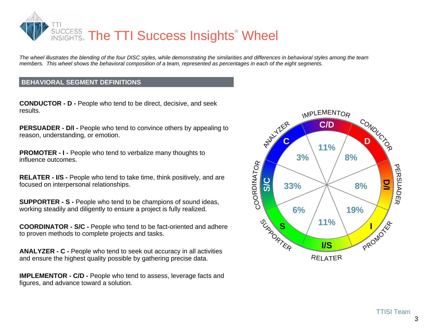

*The wheel illustrates the blending of the four DISC styles, while demonstrating the similarities and differences in behavioral styles among the team members. This wheel shows the behavioral composition of a team, represented as percentages in each of the eight segments.*

#### **BEHAVIORAL SEGMENT DEFINITIONS**

**CONDUCTOR - D -** People who tend to be direct, decisive, and seek results.

**PERSUADER - D/I - People who tend to convince others by appealing to** reason, understanding, or emotion.

**PROMOTER - I - People who tend to verbalize many thoughts to** influence outcomes.

**RELATER - I/S -** People who tend to take time, think positively, and are focused on interpersonal relationships.

**SUPPORTER - S -** People who tend to be champions of sound ideas, working steadily and diligently to ensure a project is fully realized.

**COORDINATOR - S/C -** People who tend to be fact-oriented and adhere to proven methods to complete projects and tasks.

**ANALYZER - C -** People who tend to seek out accuracy in all activities and ensure the highest quality possible by gathering precise data.

**IMPLEMENTOR - C/D - People who tend to assess, leverage facts and** figures, and advance toward a solution.

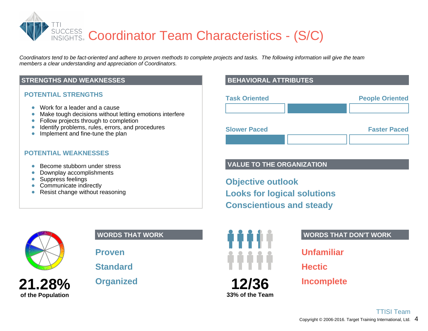SUCCESS Coordinator Team Characteristics - (S/C)

*Coordinators tend to be fact-oriented and adhere to proven methods to complete projects and tasks. The following information will give the team members a clear understanding and appreciation of Coordinators.*

#### **STRENGTHS AND WEAKNESSES**

#### **POTENTIAL STRENGTHS**

- Work for a leader and a cause  $\bullet$
- Make tough decisions without letting emotions interfere  $\bullet$
- Follow projects through to completion  $\bullet$
- Identify problems, rules, errors, and procedures  $\bullet$
- Implement and fine-tune the plan  $\bullet$

#### **POTENTIAL WEAKNESSES**

- Become stubborn under stress  $\bullet$
- Downplay accomplishments  $\bullet$
- Suppress feelings  $\bullet$
- Communicate indirectly
- Resist change without reasoning  $\bullet$



**21.28%**

**of the Population**

#### **WORDS THAT WORK**

**Proven**

**Standard**

**Organized**

### **BEHAVIORAL ATTRIBUTES**

| <b>Task Oriented</b> | <b>People Oriented</b> |
|----------------------|------------------------|
|                      |                        |
| <b>Slower Paced</b>  | <b>Faster Paced</b>    |
|                      |                        |

#### **VALUE TO THE ORGANIZATION**

**Objective outlook Looks for logical solutions Conscientious and steady**



#### **WORDS THAT DON'T WORK**

**Unfamiliar**

**Hectic**

**Incomplete**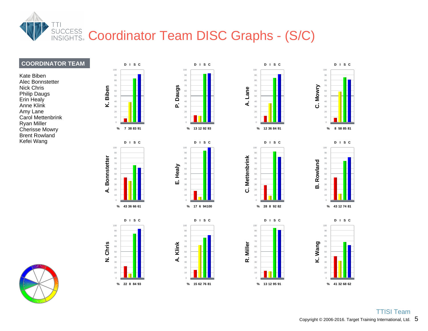

#### **COORDINATOR TEAM**

Kate Biben Alec Bonnstetter Nick Chris Philip Daugs Erin Healy Anne Klink Amy Lane Carol Mettenbrink Ryan Miller Cherisse Mowry Brent Rowland Kefei Wang

















**R. Miller**

**D I S C**

**13 12 95 % 91**



  **D I S C**



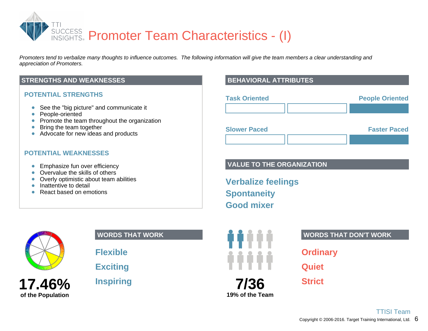

*Promoters tend to verbalize many thoughts to influence outcomes. The following information will give the team members a clear understanding and appreciation of Promoters.*

#### **STRENGTHS AND WEAKNESSES**

#### **POTENTIAL STRENGTHS**

- See the "big picture" and communicate it  $\bullet$
- People-oriented  $\bullet$
- Promote the team throughout the organization
- Bring the team together  $\bullet$
- Advocate for new ideas and products

#### **POTENTIAL WEAKNESSES**

- **Emphasize fun over efficiency**
- Overvalue the skills of others  $\bullet$
- Overly optimistic about team abilities  $\bullet$
- Inattentive to detail  $\bullet$
- React based on emotions

## **17.46% of the Population**

#### **WORDS THAT WORK**

**Flexible**

**Exciting**

**Inspiring**

#### **BEHAVIORAL ATTRIBUTES**

| <b>Task Oriented</b> | <b>People Oriented</b> |
|----------------------|------------------------|
|                      |                        |
| <b>Slower Paced</b>  | <b>Faster Paced</b>    |

#### **VALUE TO THE ORGANIZATION**

**Verbalize feelings Spontaneity Good mixer**



**19% of the Team**

#### **WORDS THAT DON'T WORK**

**Ordinary**

**Quiet**

**Strict**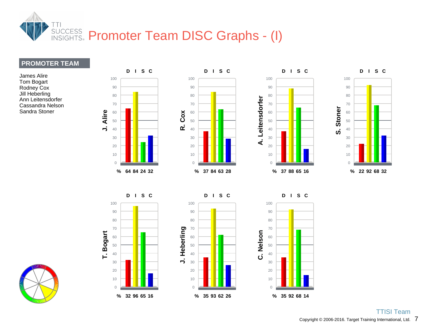

**D I S C**

#### **PROMOTER TEAM**

James Alire Tom Bogart Rodney Cox Jill Heberling Ann Leitensdorfer Cassandra Nelson Sandra Stoner



**D I S C**

**D I S C**



**D I S C**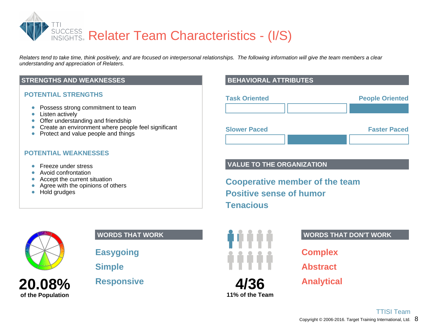

*Relaters tend to take time, think positively, and are focused on interpersonal relationships. The following information will give the team members a clear understanding and appreciation of Relaters.*

#### **STRENGTHS AND WEAKNESSES**

#### **POTENTIAL STRENGTHS**

- Possess strong commitment to team  $\bullet$
- Listen actively  $\bullet$
- Offer understanding and friendship
- Create an environment where people feel significant
- Protect and value people and things

#### **POTENTIAL WEAKNESSES**

- Freeze under stress  $\bullet$
- Avoid confrontation  $\bullet$
- Accept the current situation  $\bullet$
- Agree with the opinions of others  $\bullet$
- Hold grudges

**20.08%**

**of the Population**

**WORDS THAT WORK**

**Easygoing**

**Simple**

**Responsive**

#### **BEHAVIORAL ATTRIBUTES**



#### **VALUE TO THE ORGANIZATION**

**Cooperative member of the team Positive sense of humor Tenacious**



**11% of the Team**

#### **WORDS THAT DON'T WORK**

**Complex**

**Abstract**

**Analytical**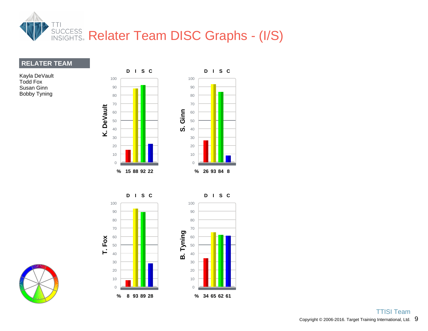

#### **RELATER TEAM**

Kayla DeVault Todd Fox Susan Ginn Bobby Tyning



**D I S C**



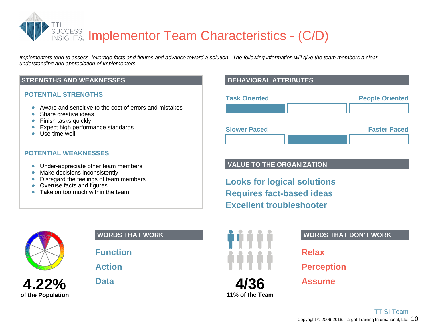**SUCCESS** Implementor Team Characteristics - (C/D)

*Implementors tend to assess, leverage facts and figures and advance toward a solution. The following information will give the team members a clear understanding and appreciation of Implementors.*

#### **STRENGTHS AND WEAKNESSES**

#### **POTENTIAL STRENGTHS**

- Aware and sensitive to the cost of errors and mistakes  $\bullet$
- $\bullet$ Share creative ideas
- Finish tasks quickly  $\bullet$
- Expect high performance standards  $\bullet$
- **Use time well**

#### **POTENTIAL WEAKNESSES**

- Under-appreciate other team members
- Make decisions inconsistently  $\bullet$
- Disregard the feelings of team members  $\bullet$
- Overuse facts and figures  $\bullet$
- $\bullet$ Take on too much within the team



| <b>Task Oriented</b> | <b>People Oriented</b> |
|----------------------|------------------------|
|                      |                        |
| <b>Slower Paced</b>  | <b>Faster Paced</b>    |

#### **VALUE TO THE ORGANIZATION**

**Looks for logical solutions Requires fact-based ideas Excellent troubleshooter**



**4.22%**

**of the Population**

#### **WORDS THAT WORK**

**Function**

**Action**

**Data**

# **WORDS THAT DON'T WORK**

**4/36 11% of the Team**

## **Relax**

**Perception**

**Assume**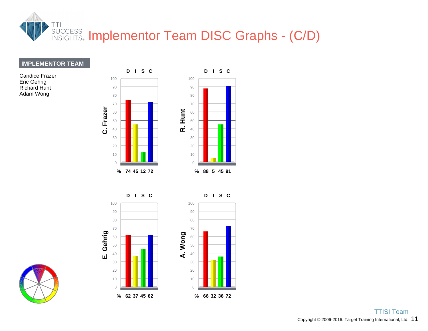

#### **IMPLEMENTOR TEAM**

Candice Frazer Eric Gehrig Richard Hunt Adam Wong



**D I S C**





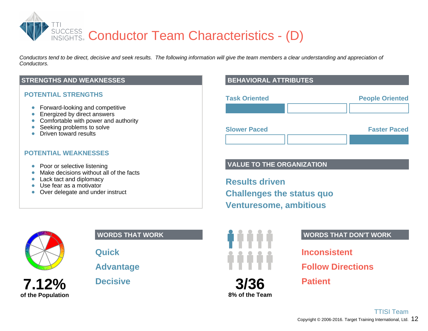

*Conductors tend to be direct, decisive and seek results. The following information will give the team members a clear understanding and appreciation of Conductors.*

#### **STRENGTHS AND WEAKNESSES**

#### **POTENTIAL STRENGTHS**

- Forward-looking and competitive
- **Energized by direct answers**
- Comfortable with power and authority
- $\bullet$ Seeking problems to solve
- Driven toward results

#### **POTENTIAL WEAKNESSES**

- Poor or selective listening
- Make decisions without all of the facts  $\bullet$
- Lack tact and diplomacy
- Use fear as a motivator
- Over delegate and under instruct

**7.12%**

**of the Population**

**WORDS THAT WORK**

**Quick**

**Advantage**

**Decisive**

#### **BEHAVIORAL ATTRIBUTES**

| <b>Task Oriented</b> | <b>People Oriented</b> |
|----------------------|------------------------|
|                      |                        |
| <b>Slower Paced</b>  | <b>Faster Paced</b>    |

#### **VALUE TO THE ORGANIZATION**

**Results driven Challenges the status quo Venturesome, ambitious**



## **3/36 8% of the Team**

#### **WORDS THAT DON'T WORK**

**Inconsistent**

**Follow Directions**

**Patient**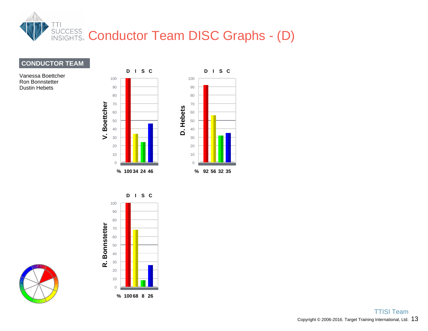

#### **CONDUCTOR TEAM**

Vanessa Boettcher Ron Bonnstetter Dustin Hebets





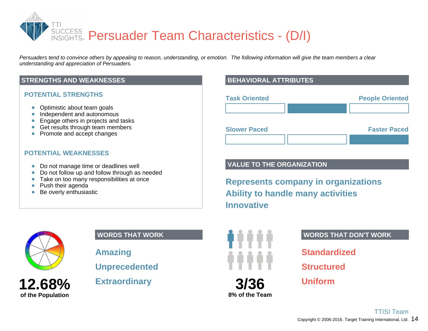

*Persuaders tend to convince others by appealing to reason, understanding, or emotion. The following information will give the team members a clear understanding and appreciation of Persuaders.*

#### **STRENGTHS AND WEAKNESSES**

#### **POTENTIAL STRENGTHS**

- Optimistic about team goals  $\bullet$
- Independent and autonomous  $\bullet$
- Engage others in projects and tasks
- Get results through team members
- Promote and accept changes

#### **POTENTIAL WEAKNESSES**

- Do not manage time or deadlines well
- Do not follow up and follow through as needed  $\bullet$
- Take on too many responsibilities at once
- Push their agenda  $\bullet$
- Be overly enthusiastic  $\bullet$



**12.68% of the Population**

#### **WORDS THAT WORK**

**Amazing**

**Unprecedented**

**Extraordinary**

#### **BEHAVIORAL ATTRIBUTES**

| <b>Task Oriented</b> | <b>People Oriented</b> |
|----------------------|------------------------|
|                      |                        |
| <b>Slower Paced</b>  | <b>Faster Paced</b>    |
|                      |                        |

#### **VALUE TO THE ORGANIZATION**

**Represents company in organizations Ability to handle many activities Innovative**



#### **WORDS THAT DON'T WORK**

**Standardized**

**Structured**

**Uniform**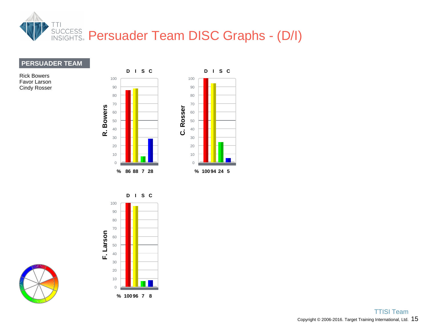

#### **PERSUADER TEAM**

Rick Bowers Favor Larson Cindy Rosser





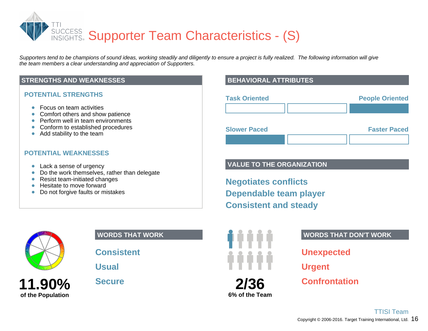SUCCESS Supporter Team Characteristics - (S)

*Supporters tend to be champions of sound ideas, working steadily and diligently to ensure a project is fully realized. The following information will give the team members a clear understanding and appreciation of Supporters.*

#### **STRENGTHS AND WEAKNESSES**

#### **POTENTIAL STRENGTHS**

- Focus on team activities
- Comfort others and show patience
- Perform well in team environments
- Conform to established procedures
- Add stability to the team

#### **POTENTIAL WEAKNESSES**

- Lack a sense of urgency
- Do the work themselves, rather than delegate  $\bullet$
- Resist team-initiated changes  $\bullet$
- Hesitate to move forward  $\bullet$
- Do not forgive faults or mistakes  $\bullet$



**11.90%**

**of the Population**

#### **WORDS THAT WORK**

**Consistent**

**Usual**

**Secure**

#### **BEHAVIORAL ATTRIBUTES**

| <b>Task Oriented</b> |  | <b>People Oriented</b> |
|----------------------|--|------------------------|
|                      |  |                        |
| <b>Slower Paced</b>  |  | <b>Faster Paced</b>    |
|                      |  |                        |

#### **VALUE TO THE ORGANIZATION**

**Negotiates conflicts Dependable team player Consistent and steady**



**6% of the Team**

#### **WORDS THAT DON'T WORK**

**Unexpected**

**Urgent**

**Confrontation**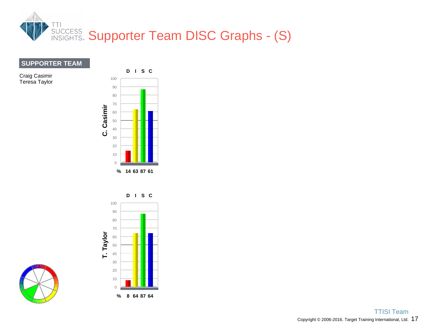

#### **SUPPORTER TEAM**

Craig Casimir Teresa Taylor <sup>100</sup>



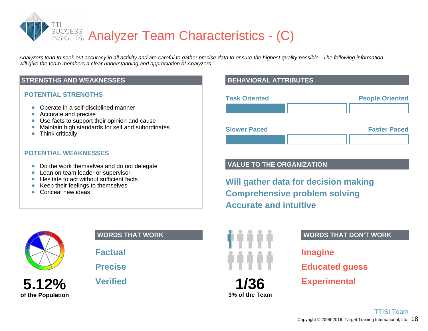SUCCESS Analyzer Team Characteristics - (C)

*Analyzers tend to seek out accuracy in all activity and are careful to gather precise data to ensure the highest quality possible. The following information will give the team members a clear understanding and appreciation of Analyzers.*

#### **STRENGTHS AND WEAKNESSES**

#### **POTENTIAL STRENGTHS**

- Operate in a self-disciplined manner
- Accurate and precise
- Use facts to support their opinion and cause
- Maintain high standards for self and subordinates  $\bullet$
- Think critically

#### **POTENTIAL WEAKNESSES**

- Do the work themselves and do not delegate
- Lean on team leader or supervisor
- Hesitate to act without sufficient facts
- Keep their feelings to themselves
- Conceal new ideas



**5.12%**

**of the Population**

#### **WORDS THAT WORK**

**Factual**

**Precise**

**Verified**

#### **BEHAVIORAL ATTRIBUTES**

| <b>Task Oriented</b> |  | <b>People Oriented</b> |
|----------------------|--|------------------------|
|                      |  |                        |
| <b>Slower Paced</b>  |  | <b>Faster Paced</b>    |
|                      |  |                        |

#### **VALUE TO THE ORGANIZATION**

**Will gather data for decision making Comprehensive problem solving Accurate and intuitive**



#### **WORDS THAT DON'T WORK**

**Imagine**

**Educated guess**

**Experimental**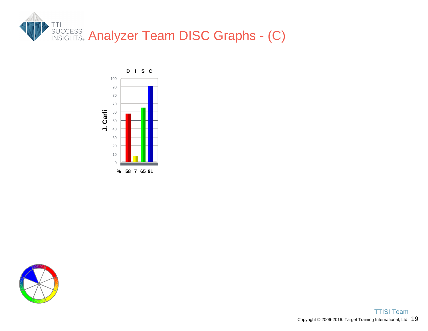



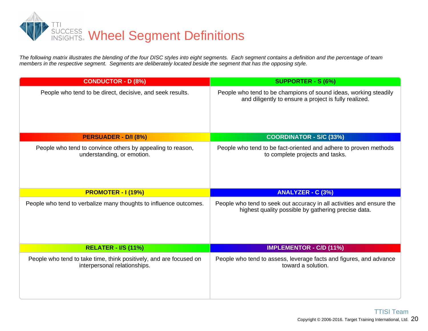

*The following matrix illustrates the blending of the four DISC styles into eight segments. Each segment contains a definition and the percentage of team members in the respective segment. Segments are deliberately located beside the segment that has the opposing style.*

| <b>CONDUCTOR - D (8%)</b>                                                                | <b>SUPPORTER - S (6%)</b>                                                                                                    |
|------------------------------------------------------------------------------------------|------------------------------------------------------------------------------------------------------------------------------|
| People who tend to be direct, decisive, and seek results.                                | People who tend to be champions of sound ideas, working steadily<br>and diligently to ensure a project is fully realized.    |
| PERSUADER - D/I (8%)                                                                     | <b>COORDINATOR - S/C (33%)</b>                                                                                               |
| People who tend to convince others by appealing to reason,<br>understanding, or emotion. | People who tend to be fact-oriented and adhere to proven methods<br>to complete projects and tasks.                          |
| <b>PROMOTER - I (19%)</b>                                                                | <b>ANALYZER - C (3%)</b>                                                                                                     |
|                                                                                          |                                                                                                                              |
| People who tend to verbalize many thoughts to influence outcomes.                        | People who tend to seek out accuracy in all activities and ensure the<br>highest quality possible by gathering precise data. |
| <b>RELATER - I/S (11%)</b>                                                               | <b>IMPLEMENTOR - C/D (11%)</b>                                                                                               |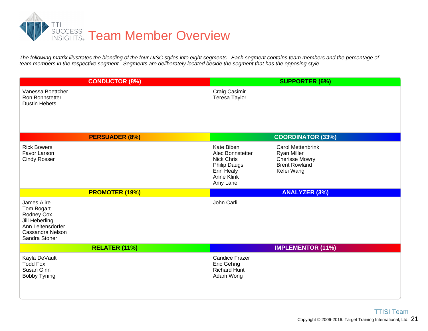

The following matrix illustrates the blending of the four DISC styles into eight segments. Each segment contains team members and the percentage of *team members in the respective segment. Segments are deliberately located beside the segment that has the opposing style.*

| <b>CONDUCTOR (8%)</b>                                                                                | <b>SUPPORTER (6%)</b>                                                                                                                                                                                                               |
|------------------------------------------------------------------------------------------------------|-------------------------------------------------------------------------------------------------------------------------------------------------------------------------------------------------------------------------------------|
| Vanessa Boettcher<br><b>Ron Bonnstetter</b><br><b>Dustin Hebets</b>                                  | Craig Casimir<br><b>Teresa Taylor</b>                                                                                                                                                                                               |
| <b>PERSUADER (8%)</b>                                                                                | <b>COORDINATOR (33%)</b>                                                                                                                                                                                                            |
| <b>Rick Bowers</b><br>Favor Larson<br><b>Cindy Rosser</b>                                            | Kate Biben<br><b>Carol Mettenbrink</b><br>Alec Bonnstetter<br><b>Ryan Miller</b><br>Nick Chris<br><b>Cherisse Mowry</b><br><b>Philip Daugs</b><br><b>Brent Rowland</b><br><b>Erin Healy</b><br>Kefei Wang<br>Anne Klink<br>Amy Lane |
| <b>PROMOTER (19%)</b>                                                                                | <b>ANALYZER (3%)</b>                                                                                                                                                                                                                |
| James Alire                                                                                          | John Carli                                                                                                                                                                                                                          |
| Tom Bogart<br>Rodney Cox<br>Jill Heberling<br>Ann Leitensdorfer<br>Cassandra Nelson<br>Sandra Stoner |                                                                                                                                                                                                                                     |
| <b>RELATER (11%)</b>                                                                                 | <b>IMPLEMENTOR (11%)</b>                                                                                                                                                                                                            |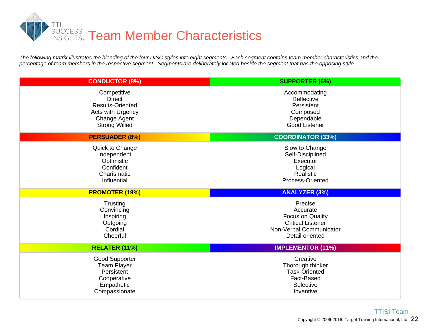

The following matrix illustrates the blending of the four DISC styles into eight segments. Each segment contains team member characteristics and the *percentage of team members in the respective segment. Segments are deliberately located beside the segment that has the opposing style.*

| <b>CONDUCTOR (8%)</b>                                                                                                | <b>SUPPORTER (6%)</b>                                                                                             |
|----------------------------------------------------------------------------------------------------------------------|-------------------------------------------------------------------------------------------------------------------|
| Competitive<br><b>Direct</b><br><b>Results-Oriented</b><br>Acts with Urgency<br>Change Agent<br><b>Strong Willed</b> | Accommodating<br>Reflective<br>Persistent<br>Composed<br>Dependable<br><b>Good Listener</b>                       |
| <b>PERSUADER (8%)</b>                                                                                                | <b>COORDINATOR (33%)</b>                                                                                          |
| Quick to Change<br>Independent<br>Optimistic<br>Confident<br>Charismatic<br>Influential                              | Slow to Change<br>Self-Disciplined<br>Executor<br>Logical<br>Realistic<br>Process-Oriented                        |
|                                                                                                                      |                                                                                                                   |
| <b>PROMOTER (19%)</b>                                                                                                | <b>ANALYZER (3%)</b>                                                                                              |
| Trusting<br>Convincing<br>Inspiring<br>Outgoing<br>Cordial<br>Cheerful                                               | Precise<br>Accurate<br>Focus on Quality<br><b>Critical Listener</b><br>Non-Verbal Communicator<br>Detail oriented |
| RELATER (11%)                                                                                                        | <b>IMPLEMENTOR (11%)</b>                                                                                          |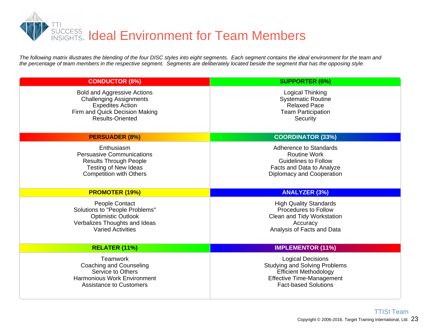

*The following matrix illustrates the blending of the four DISC styles into eight segments. Each segment contains the ideal environment for the team and the percentage of team members in the respective segment. Segments are deliberately located beside the segment that has the opposing style.*

| <b>CONDUCTOR (8%)</b>                                                                                                                                        | <b>SUPPORTER (6%)</b>                                                                                                                  |
|--------------------------------------------------------------------------------------------------------------------------------------------------------------|----------------------------------------------------------------------------------------------------------------------------------------|
| <b>Bold and Aggressive Actions</b><br><b>Challenging Assignments</b><br><b>Expedites Action</b><br>Firm and Quick Decision Making<br><b>Results-Oriented</b> | <b>Logical Thinking</b><br><b>Systematic Routine</b><br><b>Relaxed Pace</b><br><b>Team Participation</b><br>Security                   |
| <b>PERSUADER (8%)</b>                                                                                                                                        | <b>COORDINATOR (33%)</b>                                                                                                               |
| Enthusiasm<br><b>Persuasive Communications</b><br><b>Results Through People</b><br>Testing of New Ideas<br><b>Competition with Others</b>                    | Adherence to Standards<br><b>Routine Work</b><br><b>Guidelines to Follow</b><br>Facts and Data to Analyze<br>Diplomacy and Cooperation |
|                                                                                                                                                              |                                                                                                                                        |
| <b>PROMOTER (19%)</b>                                                                                                                                        | <b>ANALYZER (3%)</b>                                                                                                                   |
| People Contact<br>Solutions to "People Problems"<br><b>Optimistic Outlook</b><br>Verbalizes Thoughts and Ideas<br><b>Varied Activities</b>                   | <b>High Quality Standards</b><br><b>Procedures to Follow</b><br>Clean and Tidy Workstation<br>Accuracy<br>Analysis of Facts and Data   |
| RELATER (11%)                                                                                                                                                | <b>IMPLEMENTOR (11%)</b>                                                                                                               |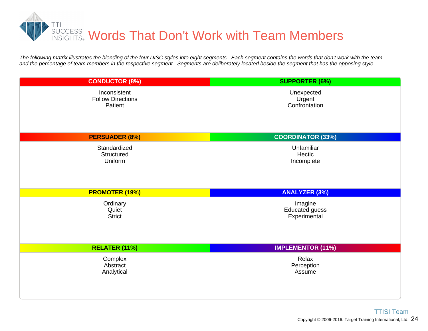

*The following matrix illustrates the blending of the four DISC styles into eight segments. Each segment contains the words that don't work with the team and the percentage of team members in the respective segment. Segments are deliberately located beside the segment that has the opposing style.*

| <b>CONDUCTOR (8%)</b>    | <b>SUPPORTER (6%)</b>    |
|--------------------------|--------------------------|
| Inconsistent             | Unexpected               |
| <b>Follow Directions</b> | Urgent                   |
| Patient                  | Confrontation            |
| <b>PERSUADER (8%)</b>    | <b>COORDINATOR (33%)</b> |
| Standardized             | Unfamiliar               |
| Structured               | Hectic                   |
| Uniform                  | Incomplete               |
| <b>PROMOTER (19%)</b>    | <b>ANALYZER (3%)</b>     |
| Ordinary                 | Imagine                  |
| Quiet                    | <b>Educated guess</b>    |
| <b>Strict</b>            | Experimental             |
| RELATER (11%)            | <b>IMPLEMENTOR (11%)</b> |
| Complex                  | Relax                    |
| Abstract                 | Perception               |
| Analytical               | Assume                   |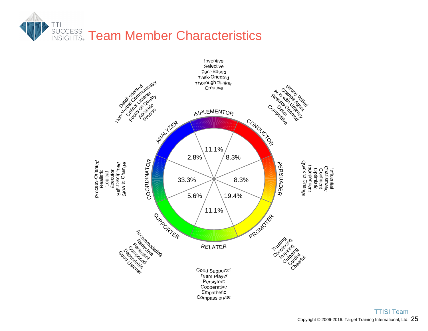

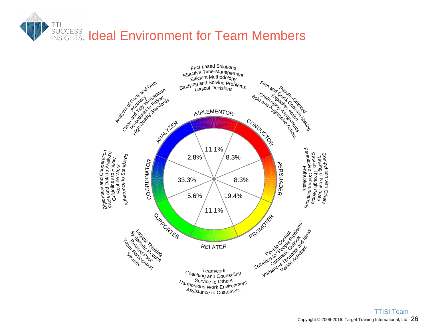# TTI **INSIGETS Ideal Environment for Team Members**

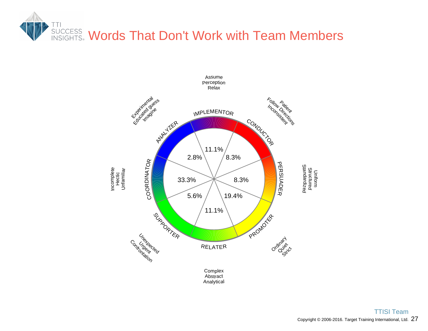

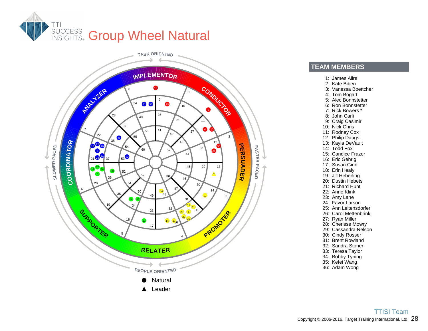



#### **TEAM MEMBERS**

- 1: James Alire
- 2: Kate Biben
- 3: Vanessa Boettcher
- 4: Tom Bogart
- 5: Alec Bonnstetter
- 6: Ron Bonnstetter
- 7: Rick Bowers \*
- 8: John Carli
- 9: Craig Casimir
- 10: Nick Chris
- 11: Rodney Cox
- 12: Philip Daugs
- 13: Kayla DeVault
- 14: Todd Fox
- 15: Candice Frazer
- 16: Eric Gehrig
- 17: Susan Ginn
- 18: Erin Healy
- 19: Jill Heberling
- 20: Dustin Hebets
- 21: Richard Hunt
- 22: Anne Klink
- 23: Amy Lane
- 24: Favor Larson
- 25: Ann Leitensdorfer
- 26: Carol Mettenbrink
- 27: Ryan Miller
- 28: Cherisse Mowry
- 29: Cassandra Nelson
- 30: Cindy Rosser
- 31: Brent Rowland
- 32: Sandra Stoner
- 33: Teresa Taylor
- 34: Bobby Tyning
- 35: Kefei Wang
- 36: Adam Wong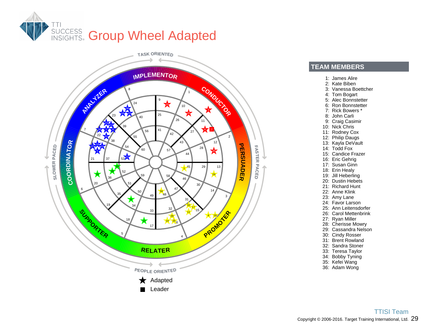



#### **TEAM MEMBERS**

- 1: James Alire
- 2: Kate Biben
- 3: Vanessa Boettcher
- 4: Tom Bogart
- 5: Alec Bonnstetter
- 6: Ron Bonnstetter
- 7: Rick Bowers \*
- 8: John Carli
- 9: Craig Casimir
- 10: Nick Chris
- 11: Rodney Cox
- 12: Philip Daugs
- 13: Kayla DeVault
- 14: Todd Fox
- 15: Candice Frazer
- 16: Eric Gehrig
- 17: Susan Ginn
- 18: Erin Healy
- 19: Jill Heberling
- 20: Dustin Hebets
- 21: Richard Hunt
- 22: Anne Klink
- 23: Amy Lane
- 24: Favor Larson
- 25: Ann Leitensdorfer
- 26: Carol Mettenbrink
- 27: Ryan Miller
- 28: Cherisse Mowry
- 29: Cassandra Nelson
- 30: Cindy Rosser
- 31: Brent Rowland
- 32: Sandra Stoner
- 33: Teresa Taylor
- 34: Bobby Tyning
- 35: Kefei Wang
- 36: Adam Wong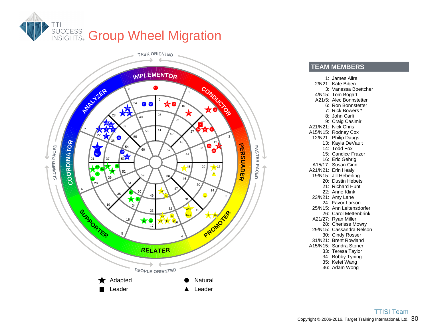



**TEAM MEMBERS**

1: James Alire 2/N21: Kate Biben 3: Vanessa Boettcher 4/N15: Tom Bogart A21/5: Alec Bonnstetter 6: Ron Bonnstetter 7: Rick Bowers \* 8: John Carli 9: Craig Casimir A21/N21: Nick Chris A15/N15: Rodney Cox 12/N21: Philip Daugs 13: Kayla DeVault 14: Todd Fox 15: Candice Frazer 16: Eric Gehrig A15/17: Susan Ginn A21/N21: Erin Healy 19/N15: Jill Heberling 20: Dustin Hebets 21: Richard Hunt 22: Anne Klink 23/N21: Amy Lane 24: Favor Larson 25/N15: Ann Leitensdorfer 26: Carol Mettenbrink A21/27: Ryan Miller 28: Cherisse Mowry 29/N15: Cassandra Nelson 30: Cindy Rosser 31/N21: Brent Rowland A15/N15: Sandra Stoner 33: Teresa Taylor 34: Bobby Tyning 35: Kefei Wang 36: Adam Wong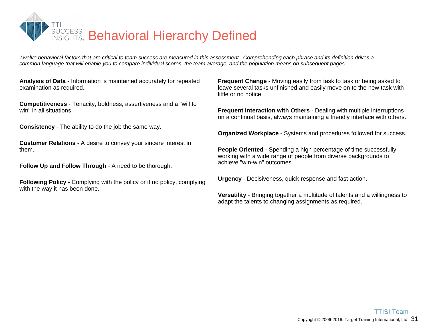

*Twelve behavioral factors that are critical to team success are measured in this assessment. Comprehending each phrase and its definition drives a common language that will enable you to compare individual scores, the team average, and the population means on subsequent pages.*

**Analysis of Data** - Information is maintained accurately for repeated examination as required.

**Competitiveness** - Tenacity, boldness, assertiveness and a "will to win" in all situations.

**Consistency** - The ability to do the job the same way.

**Customer Relations** - A desire to convey your sincere interest in them.

**Follow Up and Follow Through** - A need to be thorough.

**Following Policy** - Complying with the policy or if no policy, complying with the way it has been done.

**Frequent Change** - Moving easily from task to task or being asked to leave several tasks unfinished and easily move on to the new task with little or no notice.

**Frequent Interaction with Others** - Dealing with multiple interruptions on a continual basis, always maintaining a friendly interface with others.

**Organized Workplace** - Systems and procedures followed for success.

**People Oriented** - Spending a high percentage of time successfully working with a wide range of people from diverse backgrounds to achieve "win-win" outcomes.

**Urgency** - Decisiveness, quick response and fast action.

**Versatility** - Bringing together a multitude of talents and a willingness to adapt the talents to changing assignments as required.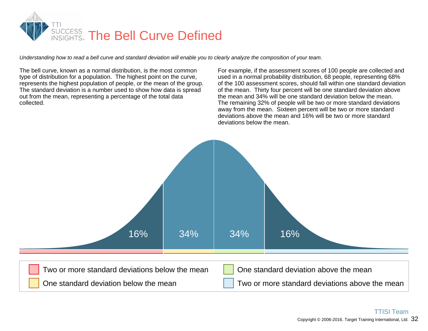

*Understanding how to read a bell curve and standard deviation will enable you to clearly analyze the composition of your team.*

The bell curve, known as a normal distribution, is the most common type of distribution for a population. The highest point on the curve, represents the highest population of people, or the mean of the group. The standard deviation is a number used to show how data is spread out from the mean, representing a percentage of the total data collected.

For example, if the assessment scores of 100 people are collected and used in a normal probability distribution, 68 people, representing 68% of the 100 assessment scores, should fall within one standard deviation of the mean. Thirty four percent will be one standard deviation above the mean and 34% will be one standard deviation below the mean. The remaining 32% of people will be two or more standard deviations away from the mean. Sixteen percent will be two or more standard deviations above the mean and 16% will be two or more standard deviations below the mean.

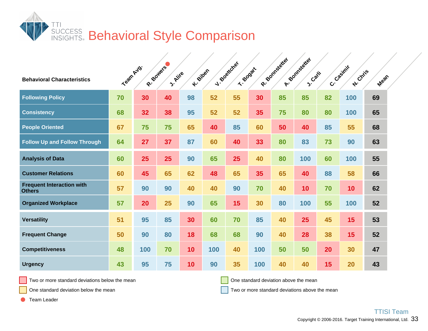

| <b>Behavioral Characteristics</b>                 | Team Avg. |     | R- Bowers<br>J. Aire | <b>K-Silber</b> |     | J. Boatcher<br>T- Boost |     | R- Bonnesterter | A-Somtageter<br><b>S.Carli</b> |    | C. Casimit<br><b>A</b> : Chris | Mean |
|---------------------------------------------------|-----------|-----|----------------------|-----------------|-----|-------------------------|-----|-----------------|--------------------------------|----|--------------------------------|------|
| <b>Following Policy</b>                           | 70        | 30  | 40                   | 98              | 52  | 55                      | 30  | 85              | 85                             | 82 | 100                            | 69   |
| <b>Consistency</b>                                | 68        | 32  | 38                   | 95              | 52  | 52                      | 35  | 75              | 80                             | 80 | 100                            | 65   |
| <b>People Oriented</b>                            | 67        | 75  | 75                   | 65              | 40  | 85                      | 60  | 50              | 40                             | 85 | 55                             | 68   |
| <b>Follow Up and Follow Through</b>               | 64        | 27  | 37                   | 87              | 60  | 40                      | 33  | 80              | 83                             | 73 | 90                             | 63   |
| <b>Analysis of Data</b>                           | 60        | 25  | 25                   | 90              | 65  | 25                      | 40  | 80              | 100                            | 60 | 100                            | 55   |
| <b>Customer Relations</b>                         | 60        | 45  | 65                   | 62              | 48  | 65                      | 35  | 65              | 40                             | 88 | 58                             | 66   |
| <b>Frequent Interaction with</b><br><b>Others</b> | 57        | 90  | 90                   | 40              | 40  | 90                      | 70  | 40              | 10                             | 70 | 10                             | 62   |
| <b>Organized Workplace</b>                        | 57        | 20  | 25                   | 90              | 65  | 15                      | 30  | 80              | 100                            | 55 | 100                            | 52   |
| <b>Versatility</b>                                | 51        | 95  | 85                   | 30              | 60  | 70                      | 85  | 40              | 25                             | 45 | 15                             | 53   |
| <b>Frequent Change</b>                            | 50        | 90  | 80                   | 18              | 68  | 68                      | 90  | 40              | 28                             | 38 | 15                             | 52   |
| <b>Competitiveness</b>                            | 48        | 100 | 70                   | 10              | 100 | 40                      | 100 | 50              | 50                             | 20 | 30                             | 47   |
| <b>Urgency</b>                                    | 43        | 95  | 75                   | 10              | 90  | 35                      | 100 | 40              | 40                             | 15 | 20                             | 43   |

Two or more standard deviations below the mean

One standard deviation above the mean

One standard deviation below the mean

Two or more standard deviations above the mean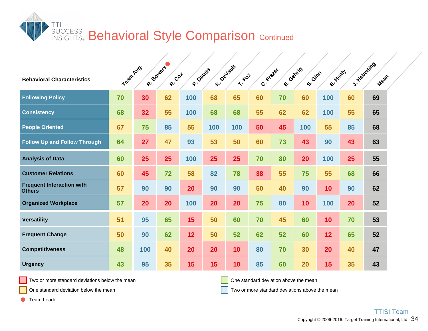**SUCCESS Behavioral Style Comparison Continued** 

| <b>Behavioral Characteristics</b>                 | Team Avg. |     | R- Bowers<br>R-Cot | P. Davas | K-Devisure | $x:=x_0$ | C. Frater | E-Genris | S. Gimn | E-Healty        |    | J. Haberling<br>Mean |  |
|---------------------------------------------------|-----------|-----|--------------------|----------|------------|----------|-----------|----------|---------|-----------------|----|----------------------|--|
| <b>Following Policy</b>                           | 70        | 30  | 62                 | 100      | 68         | 65       | 60        | 70       | 60      | 100             | 60 | 69                   |  |
| <b>Consistency</b>                                | 68        | 32  | 55                 | 100      | 68         | 68       | 55        | 62       | 62      | 100             | 55 | 65                   |  |
| <b>People Oriented</b>                            | 67        | 75  | 85                 | 55       | 100        | 100      | 50        | 45       | 100     | 55              | 85 | 68                   |  |
| <b>Follow Up and Follow Through</b>               | 64        | 27  | 47                 | 93       | 53         | 50       | 60        | 73       | 43      | 90              | 43 | 63                   |  |
| <b>Analysis of Data</b>                           | 60        | 25  | 25                 | 100      | 25         | 25       | 70        | 80       | 20      | 100             | 25 | 55                   |  |
| <b>Customer Relations</b>                         | 60        | 45  | 72                 | 58       | 82         | 78       | 38        | 55       | 75      | 55              | 68 | 66                   |  |
| <b>Frequent Interaction with</b><br><b>Others</b> | 57        | 90  | 90                 | 20       | 90         | 90       | 50        | 40       | 90      | 10 <sub>1</sub> | 90 | 62                   |  |
| <b>Organized Workplace</b>                        | 57        | 20  | 20                 | 100      | 20         | 20       | 75        | 80       | 10      | 100             | 20 | 52                   |  |
| <b>Versatility</b>                                | 51        | 95  | 65                 | 15       | 50         | 60       | 70        | 45       | 60      | 10 <sub>1</sub> | 70 | 53                   |  |
| <b>Frequent Change</b>                            | 50        | 90  | 62                 | 12       | 50         | 52       | 62        | 52       | 60      | 12 <sub>2</sub> | 65 | 52                   |  |
| <b>Competitiveness</b>                            | 48        | 100 | 40                 | 20       | 20         | 10       | 80        | 70       | 30      | 20              | 40 | 47                   |  |
| <b>Urgency</b>                                    | 43        | 95  | 35                 | 15       | 15         | 10       | 85        | 60       | 20      | 15              | 35 | 43                   |  |

Two or more standard deviations below the mean

One standard deviation above the mean

One standard deviation below the mean

Two or more standard deviations above the mean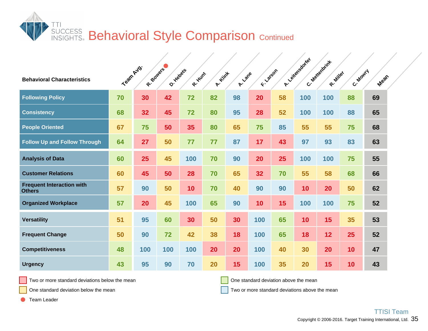**SUCCESS Behavioral Style Comparison Continued** 

| <b>Behavioral Characteristics</b>                 | Team Avg. |     | R- Boulers<br>O. Helpets | R. Hunt | A. Kink | A-Lane | FI-Jargon |    | A. Yellensdorfer | C. Mexicanizat<br>R. Miller | C. Moury | Mean |  |
|---------------------------------------------------|-----------|-----|--------------------------|---------|---------|--------|-----------|----|------------------|-----------------------------|----------|------|--|
| <b>Following Policy</b>                           | 70        | 30  | 42                       | 72      | 82      | 98     | 20        | 58 | 100              | 100                         | 88       | 69   |  |
| <b>Consistency</b>                                | 68        | 32  | 45                       | 72      | 80      | 95     | 28        | 52 | 100              | 100                         | 88       | 65   |  |
| <b>People Oriented</b>                            | 67        | 75  | 50                       | 35      | 80      | 65     | 75        | 85 | 55               | 55                          | 75       | 68   |  |
| <b>Follow Up and Follow Through</b>               | 64        | 27  | 50                       | 77      | 77      | 87     | 17        | 43 | 97               | 93                          | 83       | 63   |  |
| <b>Analysis of Data</b>                           | 60        | 25  | 45                       | 100     | 70      | 90     | 20        | 25 | 100              | 100                         | 75       | 55   |  |
| <b>Customer Relations</b>                         | 60        | 45  | 50                       | 28      | 70      | 65     | 32        | 70 | 55               | 58                          | 68       | 66   |  |
| <b>Frequent Interaction with</b><br><b>Others</b> | 57        | 90  | 50                       | 10      | 70      | 40     | 90        | 90 | 10 <sup>°</sup>  | 20                          | 50       | 62   |  |
| <b>Organized Workplace</b>                        | 57        | 20  | 45                       | 100     | 65      | 90     | 10        | 15 | 100              | 100                         | 75       | 52   |  |
| <b>Versatility</b>                                | 51        | 95  | 60                       | 30      | 50      | 30     | 100       | 65 | 10               | 15                          | 35       | 53   |  |
| <b>Frequent Change</b>                            | 50        | 90  | 72                       | 42      | 38      | 18     | 100       | 65 | 18               | 12                          | 25       | 52   |  |
| <b>Competitiveness</b>                            | 48        | 100 | 100                      | 100     | 20      | 20     | 100       | 40 | 30               | 20                          | 10       | 47   |  |
| <b>Urgency</b>                                    | 43        | 95  | 90                       | 70      | 20      | 15     | 100       | 35 | 20               | 15                          | 10       | 43   |  |

Two or more standard deviations below the mean

One standard deviation above the mean

One standard deviation below the mean

Two or more standard deviations above the mean